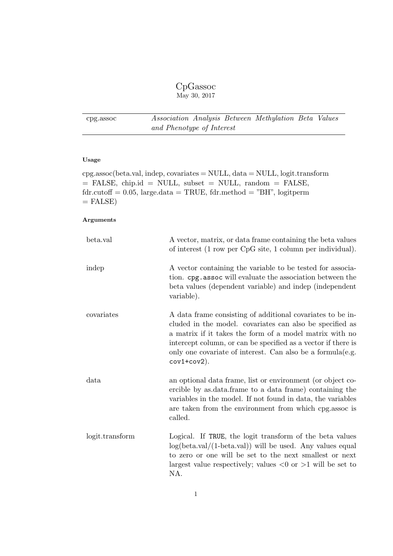# CpGassoc May 30, 2017

<span id="page-0-0"></span>cpg.assoc Association Analysis Between Methylation Beta Values and Phenotype of Interest

# Usage

cpg.assoc(beta.val, indep, covariates = NULL, data = NULL, logit.transform = FALSE, chip.id = NULL, subset = NULL, random = FALSE,  $fdr.cutoff = 0.05$ , large.data = TRUE,  $fdr.method = "BH"$ , logitperm  $=$  FALSE)

| beta.val        | A vector, matrix, or data frame containing the beta values<br>of interest (1 row per CpG site, 1 column per individual).                                                                                                                                                                                                            |
|-----------------|-------------------------------------------------------------------------------------------------------------------------------------------------------------------------------------------------------------------------------------------------------------------------------------------------------------------------------------|
| indep           | A vector containing the variable to be tested for associa-<br>tion. cpg. assoc will evaluate the association between the<br>beta values (dependent variable) and indep (independent<br>variable).                                                                                                                                   |
| covariates      | A data frame consisting of additional covariates to be in-<br>cluded in the model. covariates can also be specified as<br>a matrix if it takes the form of a model matrix with no<br>intercept column, or can be specified as a vector if there is<br>only one covariate of interest. Can also be a formula (e.g.<br>$cov1+cov2$ ). |
| data            | an optional data frame, list or environment (or object co-<br>ercible by as data frame to a data frame) containing the<br>variables in the model. If not found in data, the variables<br>are taken from the environment from which cpg. assoc is<br>called.                                                                         |
| logit.transform | Logical. If TRUE, the logit transform of the beta values<br>$log(beta.val/(1-beta.val))$ will be used. Any values equal<br>to zero or one will be set to the next smallest or next<br>largest value respectively; values $\langle 0 \text{ or } \rangle$ will be set to<br>NA.                                                      |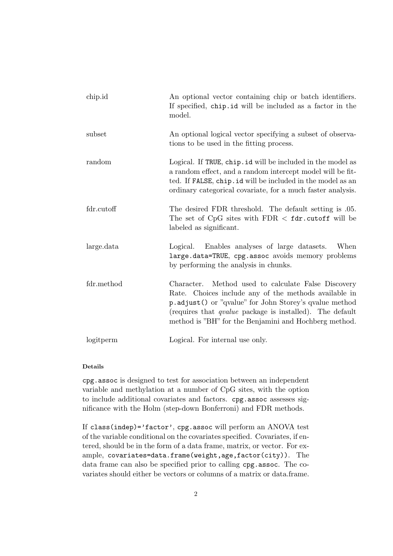| chip.id    | An optional vector containing chip or batch identifiers.<br>If specified, chip.id will be included as a factor in the<br>model.                                                                                                                                                                       |
|------------|-------------------------------------------------------------------------------------------------------------------------------------------------------------------------------------------------------------------------------------------------------------------------------------------------------|
| subset     | An optional logical vector specifying a subset of observa-<br>tions to be used in the fitting process.                                                                                                                                                                                                |
| random     | Logical. If TRUE, chip.id will be included in the model as<br>a random effect, and a random intercept model will be fit-<br>ted. If FALSE, chip.id will be included in the model as an<br>ordinary categorical covariate, for a much faster analysis.                                                 |
| fdr.cutoff | The desired FDR threshold. The default setting is 05.<br>The set of CpG sites with $FDR <$ fdr. cutoff will be<br>labeled as significant.                                                                                                                                                             |
| large.data | Logical. Enables analyses of large datasets.<br>When<br>large.data=TRUE, cpg.assoc avoids memory problems<br>by performing the analysis in chunks.                                                                                                                                                    |
| fdr.method | Method used to calculate False Discovery<br>Character.<br>Rate. Choices include any of the methods available in<br>p.adjust() or "qvalue" for John Storey's qvalue method<br>(requires that <i>qualue</i> package is installed). The default<br>method is "BH" for the Benjamini and Hochberg method. |
| logitperm  | Logical. For internal use only.                                                                                                                                                                                                                                                                       |

# Details

cpg.assoc is designed to test for association between an independent variable and methylation at a number of CpG sites, with the option to include additional covariates and factors. cpg.assoc assesses significance with the Holm (step-down Bonferroni) and FDR methods.

If class(indep)='factor', cpg.assoc will perform an ANOVA test of the variable conditional on the covariates specified. Covariates, if entered, should be in the form of a data frame, matrix, or vector. For example, covariates=data.frame(weight,age,factor(city)). The data frame can also be specified prior to calling cpg.assoc. The covariates should either be vectors or columns of a matrix or data.frame.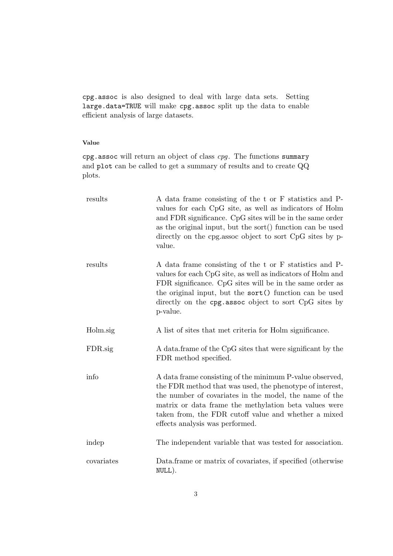cpg.assoc is also designed to deal with large data sets. Setting large.data=TRUE will make cpg.assoc split up the data to enable efficient analysis of large datasets.

# Value

cpg.assoc will return an object of class cpg. The functions summary and plot can be called to get a summary of results and to create QQ plots.

| results    | A data frame consisting of the t or F statistics and P-<br>values for each CpG site, as well as indicators of Holm<br>and FDR significance. CpG sites will be in the same order<br>as the original input, but the sort() function can be used<br>directly on the cpg.assoc object to sort CpG sites by p-<br>value.                |
|------------|------------------------------------------------------------------------------------------------------------------------------------------------------------------------------------------------------------------------------------------------------------------------------------------------------------------------------------|
| results    | A data frame consisting of the t or F statistics and P-<br>values for each CpG site, as well as indicators of Holm and<br>FDR significance. CpG sites will be in the same order as<br>the original input, but the sort () function can be used<br>directly on the cpg. assoc object to sort CpG sites by<br>p-value.               |
| Holm.sig   | A list of sites that met criteria for Holm significance.                                                                                                                                                                                                                                                                           |
| FDR.sig    | A data frame of the CpG sites that were significant by the<br>FDR method specified.                                                                                                                                                                                                                                                |
| info       | A data frame consisting of the minimum P-value observed,<br>the FDR method that was used, the phenotype of interest,<br>the number of covariates in the model, the name of the<br>matrix or data frame the methylation beta values were<br>taken from, the FDR cutoff value and whether a mixed<br>effects analysis was performed. |
| indep      | The independent variable that was tested for association.                                                                                                                                                                                                                                                                          |
| covariates | Data frame or matrix of covariates, if specified (otherwise<br>NULL).                                                                                                                                                                                                                                                              |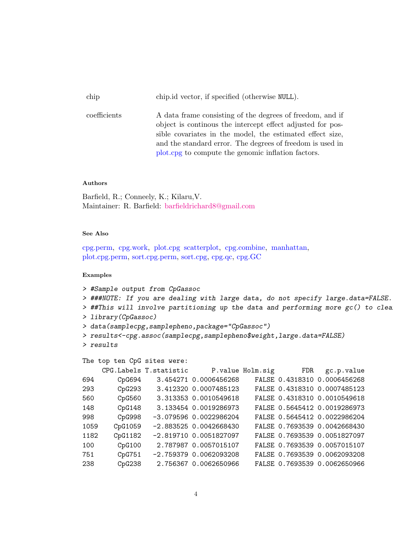| chip         | chip.id vector, if specified (otherwise NULL).                                                                                                                                                                                                     |
|--------------|----------------------------------------------------------------------------------------------------------------------------------------------------------------------------------------------------------------------------------------------------|
| coefficients | A data frame consisting of the degrees of freedom, and if<br>object is continuous the intercept effect adjusted for pos-<br>sible covariates in the model, the estimated effect size,<br>and the standard error. The degrees of freedom is used in |
|              | plot compute the genomic inflation factors.                                                                                                                                                                                                        |

# Authors

Barfield, R.; Conneely, K.; Kilaru,V. Maintainer: R. Barfield: [barfieldrichard8@gmail.com](mailto:barfieldrichard8@gmail.com)

#### See Also

[cpg.perm,](#page-6-0) [cpg.work,](#page-12-0) [plot.cpg](#page-18-0) [scatterplot,](#page-25-0) [cpg.combine,](#page-4-0) [manhattan,](#page-17-0) [plot.cpg.perm,](#page-22-0) [sort.cpg.perm,](#page-22-0) [sort.cpg,](#page-18-0) [cpg.qc,](#page-11-0) [cpg.GC](#page-10-0)

### Examples

```
> #Sample output from CpGassoc
> ###NOTE: If you are dealing with large data, do not specify large.data=FALSE.
> ##This will involve partitioning up the data and performing more gc() to clea
> library(CpGassoc)
> data(samplecpg,samplepheno,package="CpGassoc")
> results<-cpg.assoc(samplecpg,samplepheno$weight,large.data=FALSE)
> results
The top ten CpG sites were:
    CPG.Labels T.statistic P.value Holm.sig FDR gc.p.value
694 CpG694 3.454271 0.0006456268 FALSE 0.4318310 0.0006456268
```

|      |         |                          |  | FALSE 0.4318310 0.0007485123 |
|------|---------|--------------------------|--|------------------------------|
| 560  | CpG560  | 3.313353 0.0010549618    |  | FALSE 0.4318310 0.0010549618 |
| 148  | CpG148  | 3.133454 0.0019286973    |  | FALSE 0.5645412 0.0019286973 |
| 998  | CpG998  | -3.079596 0.0022986204   |  | FALSE 0.5645412 0.0022986204 |
| 1059 | CpG1059 | $-2.883525$ 0.0042668430 |  | FALSE 0.7693539 0.0042668430 |
| 1182 | CpG1182 | $-2.819710$ 0.0051827097 |  | FALSE 0.7693539 0.0051827097 |
| 100  | CpG100  | 2.787987 0.0057015107    |  | FALSE 0.7693539 0.0057015107 |
| 751  | CpG751  | $-2.759379$ 0.0062093208 |  | FALSE 0.7693539 0.0062093208 |

238 CpG238 2.756367 0.0062650966 FALSE 0.7693539 0.0062650966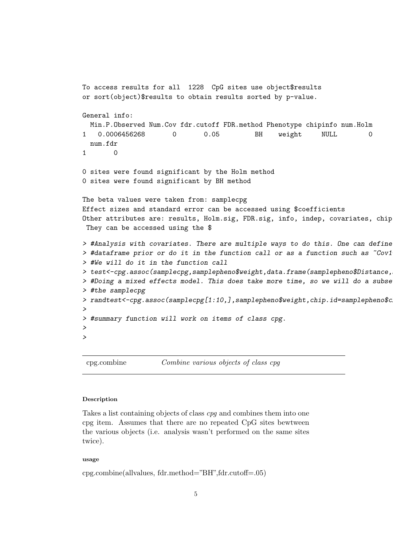```
To access results for all 1228 CpG sites use object$results
or sort(object)$results to obtain results sorted by p-value.
General info:
 Min.P.Observed Num.Cov fdr.cutoff FDR.method Phenotype chipinfo num.Holm
1 0.0006456268 0 0.05 BH weight NULL 0
 num.fdr
1 0
0 sites were found significant by the Holm method
0 sites were found significant by BH method
The beta values were taken from: samplecpg
Effect sizes and standard error can be accessed using $coefficients
Other attributes are: results, Holm.sig, FDR.sig, info, indep, covariates, chip
They can be accessed using the $
> #Analysis with covariates. There are multiple ways to do this. One can define
> #dataframe prior or do it in the function call or as a function such as ~Cov1
> #We will do it in the function call
> test<-cpg.assoc(samplecpg,samplepheno$weight,data.frame(samplepheno$Distance,
> #Doing a mixed effects model. This does take more time, so we will do a subse
> #the samplecpg
> randtest<-cpg.assoc(samplecpg[1:10,],samplepheno$weight,chip.id=samplepheno$c
>
> #summary function will work on items of class cpg.
>
>
```
<span id="page-4-0"></span>cpg.combine Combine various objects of class cpg

#### Description

Takes a list containing objects of class cpg and combines them into one cpg item. Assumes that there are no repeated CpG sites bewtween the various objects (i.e. analysis wasn't performed on the same sites twice).

#### usage

cpg.combine(allvalues, fdr.method="BH",fdr.cutoff=.05)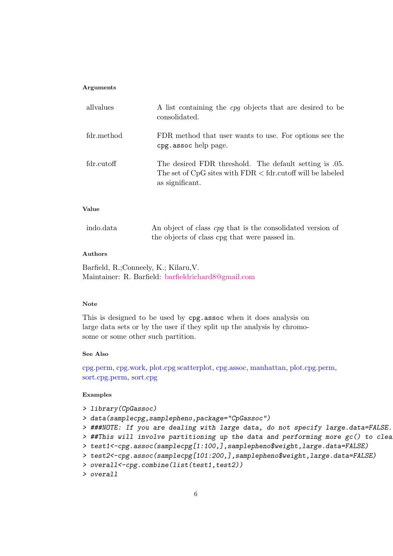#### Arguments

| allyalues  | A list containing the <i>cpq</i> objects that are desired to be<br>consolidated.                                                             |
|------------|----------------------------------------------------------------------------------------------------------------------------------------------|
| fdr.method | FDR method that user wants to use. For options see the<br>cpg.assoc help page.                                                               |
| fdr.cutoff | The desired FDR threshold. The default setting is 0.05.<br>The set of $CpG$ sites with $FDR < fdr$ cutoff will be labeled<br>as significant. |

# Value

| indo.data | An object of class <i>cpq</i> that is the consolidated version of |
|-----------|-------------------------------------------------------------------|
|           | the objects of class cpg that were passed in.                     |

# Authors

Barfield, R.;Conneely, K.; Kilaru,V. Maintainer: R. Barfield: [barfieldrichard8@gmail.com](mailto:barfieldrichard8@gmail.com)

#### Note

This is designed to be used by cpg.assoc when it does analysis on large data sets or by the user if they split up the analysis by chromosome or some other such partition.

## See Also

[cpg.perm,](#page-6-0) [cpg.work,](#page-12-0) [plot.cpg](#page-18-0) [scatterplot,](#page-25-0) [cpg.assoc,](#page-0-0) [manhattan,](#page-17-0) [plot.cpg.perm,](#page-22-0) [sort.cpg.perm,](#page-22-0) [sort.cpg](#page-18-0)

### Examples

- > library(CpGassoc)
- > data(samplecpg,samplepheno,package="CpGassoc")
- > ###NOTE: If you are dealing with large data, do not specify large.data=FALSE.
- $>$  ##This will involve partitioning up the data and performing more  $gc()$  to clear
- > test1<-cpg.assoc(samplecpg[1:100,],samplepheno\$weight,large.data=FALSE)
- > test2<-cpg.assoc(samplecpg[101:200,],samplepheno\$weight,large.data=FALSE)
- > overall<-cpg.combine(list(test1,test2))
- > overall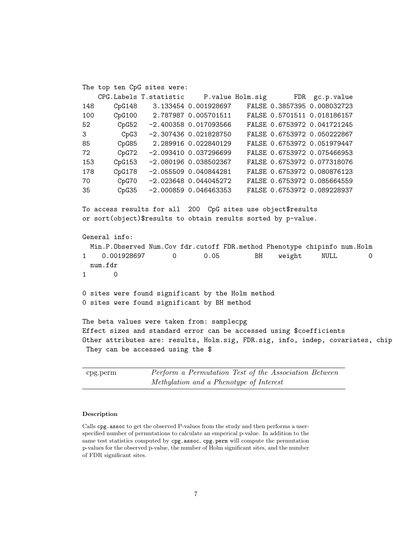The top ten CpG sites were: CPG.Labels T.statistic P.value Holm.sig FDR gc.p.value 148 CpG148 3.133454 0.001928697 FALSE 0.3857395 0.008032723 100 CpG100 2.787987 0.005701511 FALSE 0.5701511 0.018186157 52 CpG52 -2.400358 0.017093566 FALSE 0.6753972 0.041721245 3 CpG3 -2.307436 0.021828750 FALSE 0.6753972 0.050222867 85 CpG85 2.289916 0.022840129 FALSE 0.6753972 0.051979447 72 CpG72 -2.093410 0.037296699 FALSE 0.6753972 0.075466953 153 CpG153 -2.080196 0.038502367 FALSE 0.6753972 0.077318076 178 CpG178 -2.055509 0.040844281 FALSE 0.6753972 0.080876123 70 CpG70 -2.023648 0.044045272 FALSE 0.6753972 0.085664559 35 CpG35 -2.000859 0.046463353 FALSE 0.6753972 0.089228937 To access results for all 200 CpG sites use object\$results or sort(object)\$results to obtain results sorted by p-value. General info: Min.P.Observed Num.Cov fdr.cutoff FDR.method Phenotype chipinfo num.Holm 1 0.001928697 0 0.05 BH weight NULL 0 num.fdr 1 0 0 sites were found significant by the Holm method 0 sites were found significant by BH method The beta values were taken from: samplecpg Effect sizes and standard error can be accessed using \$coefficients Other attributes are: results, Holm.sig, FDR.sig, info, indep, covariates, chip They can be accessed using the \$

<span id="page-6-0"></span>cpg.perm Perform a Permutation Test of the Association Between Methylation and a Phenotype of Interest

#### Description

Calls cpg. assoc to get the observed P-values from the study and then performs a userspecified number of permutations to calculate an emperical p-value. In addition to the same test statistics computed by cpg.assoc, cpg.perm will compute the permutation p-values for the observed p-value, the number of Holm significant sites, and the number of FDR significant sites.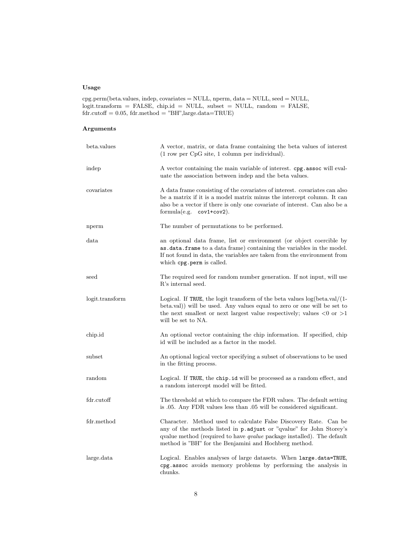# Usage

cpg.perm(beta.values, indep, covariates = NULL, nperm, data = NULL, seed = NULL, logit.transform = FALSE, chip.id = NULL, subset = NULL, random = FALSE,  $fdr.cutoff = 0.05, fdr.method = "BH", large.data = TRUE)$ 

| beta.values     | A vector, matrix, or data frame containing the beta values of interest<br>$(1$ row per CpG site, 1 column per individual).                                                                                                                                                         |
|-----------------|------------------------------------------------------------------------------------------------------------------------------------------------------------------------------------------------------------------------------------------------------------------------------------|
| indep           | A vector containing the main variable of interest. cpg. assoc will eval-<br>uate the association between indep and the beta values.                                                                                                                                                |
| covariates      | A data frame consisting of the covariates of interest. covariates can also<br>be a matrix if it is a model matrix minus the intercept column. It can<br>also be a vector if there is only one covariate of interest. Can also be a<br>formula(e.g. $cov1+cov2$ ).                  |
| nperm           | The number of permutations to be performed.                                                                                                                                                                                                                                        |
| data            | an optional data frame, list or environment (or object coercible by<br>as data. frame to a data frame) containing the variables in the model.<br>If not found in data, the variables are taken from the environment from<br>which cpg.perm is called.                              |
| seed            | The required seed for random number generation. If not input, will use<br>R's internal seed.                                                                                                                                                                                       |
| logit.transform | Logical. If TRUE, the logit transform of the beta values $log(beta.val/(1-$<br>beta.val)) will be used. Any values equal to zero or one will be set to<br>the next smallest or next largest value respectively; values $\langle 0 \text{ or } 0 \rangle$<br>will be set to NA.     |
| chip.id         | An optional vector containing the chip information. If specified, chip<br>id will be included as a factor in the model.                                                                                                                                                            |
| subset          | An optional logical vector specifying a subset of observations to be used<br>in the fitting process.                                                                                                                                                                               |
| random          | Logical. If TRUE, the chip.id will be processed as a random effect, and<br>a random intercept model will be fitted.                                                                                                                                                                |
| fdr.cutoff      | The threshold at which to compare the FDR values. The default setting<br>is 0.05. Any FDR values less than 0.05 will be considered significant.                                                                                                                                    |
| fdr.method      | Character. Method used to calculate False Discovery Rate. Can be<br>any of the methods listed in p. adjust or "qvalue" for John Storey's<br>qvalue method (required to have <i>qvalue</i> package installed). The default<br>method is "BH" for the Benjamini and Hochberg method. |
| large.data      | Logical. Enables analyses of large datasets. When large.data=TRUE,<br>cpg.assoc avoids memory problems by performing the analysis in<br>chunks.                                                                                                                                    |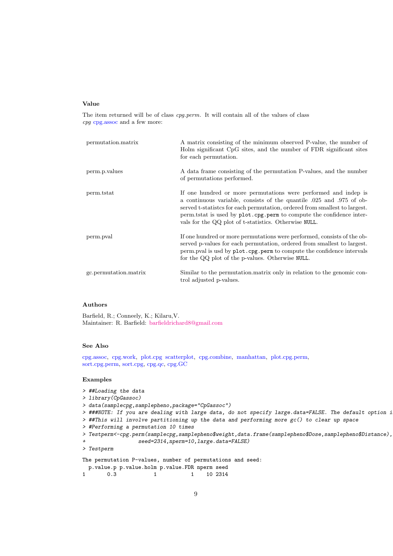#### Value

The item returned will be of class cpg.perm. It will contain all of the values of class cpg [cpg.assoc](#page-0-0) and a few more:

| permutation.matrix    | A matrix consisting of the minimum observed P-value, the number of<br>Holm significant CpG sites, and the number of FDR significant sites<br>for each permutation.                                                                                                                                                                                          |
|-----------------------|-------------------------------------------------------------------------------------------------------------------------------------------------------------------------------------------------------------------------------------------------------------------------------------------------------------------------------------------------------------|
| perm.p. values        | A data frame consisting of the permutation P-values, and the number<br>of permutations performed.                                                                                                                                                                                                                                                           |
| perm.tstat            | If one hundred or more permutations were performed and indep is<br>a continuous variable, consists of the quantile 0.025 and 0.975 of ob-<br>served t-statistics for each permutation, ordered from smallest to largest.<br>perm tstat is used by plot. cpg. perm to compute the confidence inter-<br>vals for the QQ plot of t-statistics. Otherwise NULL. |
| perm.pval             | If one hundred or more permutations were performed, consists of the ob-<br>served p-values for each permutation, ordered from smallest to largest.<br>perm.pval is usd by plot.cpg.perm to compute the confidence intervals<br>for the QQ plot of the p-values. Otherwise NULL.                                                                             |
| gc.permutation.matrix | Similar to the permutation matrix only in relation to the genomic con-<br>trol adjusted p-values.                                                                                                                                                                                                                                                           |

### Authors

Barfield, R.; Conneely, K.; Kilaru,V. Maintainer: R. Barfield: <barfieldrichard8@gmail.com>

# See Also

[cpg.assoc,](#page-0-0) [cpg.work,](#page-12-0) [plot.cpg](#page-18-0) [scatterplot,](#page-25-0) [cpg.combine,](#page-4-0) [manhattan,](#page-17-0) [plot.cpg.perm,](#page-22-0) [sort.cpg.perm,](#page-22-0) [sort.cpg,](#page-18-0) [cpg.qc,](#page-11-0) [cpg.GC](#page-10-0)

#### Examples

```
> ##Loading the data
> library(CpGassoc)
> data(samplecpg,samplepheno,package="CpGassoc")
> ###NOTE: If you are dealing with large data, do not specify large.data=FALSE. The default option i
> ##This will involve partitioning up the data and performing more gc() to clear up space
> #Performing a permutation 10 times
> Testperm<-cpg.perm(samplecpg,samplepheno$weight,data.frame(samplepheno$Dose,samplepheno$Distance),
+ seed=2314,nperm=10,large.data=FALSE)
> Testperm
The permutation P-values, number of permutations and seed:
 p.value.p p.value.holm p.value.FDR nperm seed
1 0.3 1 1 10 2314
```
9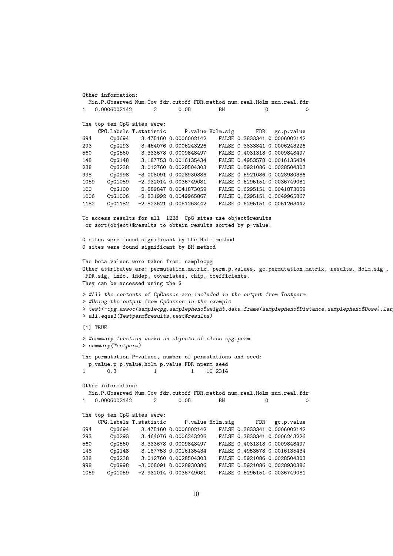```
Other information:
 Min.P.Observed Num.Cov fdr.cutoff FDR.method num.real.Holm num.real.fdr
  1 0.0006002142 2 0.05 BH 0 0
The top ten CpG sites were:
    CPG.Labels T.statistic P.value Holm.sig FDR gc.p.value
694 CpG694 3.475160 0.0006002142 FALSE 0.3833341 0.0006002142
293 CpG293 3.464076 0.0006243226 FALSE 0.3833341 0.0006243226
560 CpG560 3.333678 0.0009848497 FALSE 0.4031318 0.0009848497
148 CpG148 3.187753 0.0016135434 FALSE 0.4953578 0.0016135434
238 CpG238 3.012760 0.0028504303 FALSE 0.5921086 0.0028504303
998 CpG998 -3.008091 0.0028930386 FALSE 0.5921086 0.0028930386
1059 CpG1059 -2.932014 0.0036749081 FALSE 0.6295151 0.0036749081
100 CpG100 2.889847 0.0041873059 FALSE 0.6295151 0.0041873059
1006 CpG1006 -2.831992 0.0049965867 FALSE 0.6295151 0.0049965867
1182 CpG1182 -2.823521 0.0051263442 FALSE 0.6295151 0.0051263442
To access results for all 1228 CpG sites use object$results
or sort(object)$results to obtain results sorted by p-value.
0 sites were found significant by the Holm method
0 sites were found significant by BH method
The beta values were taken from: samplecpg
Other attributes are: permutation.matrix, perm.p.values, gc.permutation.matrix, results, Holm.sig ,
FDR.sig, info, indep, covariates, chip, coefficients.
They can be accessed using the $
> #All the contents of CpGassoc are included in the output from Testperm
> #Using the output from CpGassoc in the example
> test<-cpg.assoc(samplecpg,samplepheno$weight,data.frame(samplepheno$Distance,samplepheno$Dose),lar
> all.equal(Testperm$results,test$results)
[1] TRUE
> #summary function works on objects of class cpg.perm
> summary(Testperm)
The permutation P-values, number of permutations and seed:
 p.value.p p.value.holm p.value.FDR nperm seed
1 0.3 1 1 10 2314
Other information:
 Min.P.Observed Num.Cov fdr.cutoff FDR.method num.real.Holm num.real.fdr
1 0.0006002142 2 0.05 BH 0 0
The top ten CpG sites were:
    CPG.Labels T.statistic P.value Holm.sig FDR gc.p.value
694 CpG694 3.475160 0.0006002142 FALSE 0.3833341 0.0006002142
293 CpG293 3.464076 0.0006243226 FALSE 0.3833341 0.0006243226
560 CpG560 3.333678 0.0009848497 FALSE 0.4031318 0.0009848497
148 CpG148 3.187753 0.0016135434 FALSE 0.4953578 0.0016135434
238 CpG238 3.012760 0.0028504303 FALSE 0.5921086 0.0028504303
998 CpG998 -3.008091 0.0028930386 FALSE 0.5921086 0.0028930386
1059 CpG1059 -2.932014 0.0036749081 FALSE 0.6295151 0.0036749081
```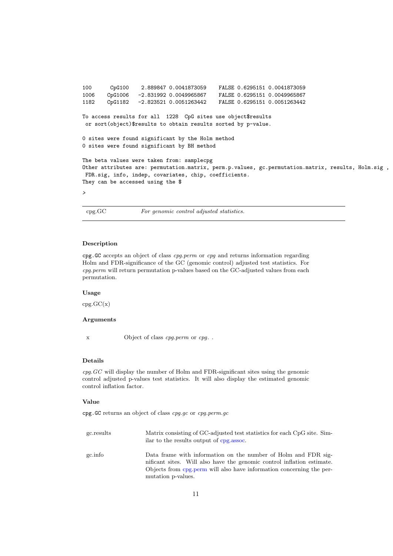```
100 CpG100 2.889847 0.0041873059 FALSE 0.6295151 0.0041873059
1006 CpG1006 -2.831992 0.0049965867 FALSE 0.6295151 0.0049965867
                                          FALSE 0.6295151 0.0051263442
To access results for all 1228 CpG sites use object$results
or sort(object)$results to obtain results sorted by p-value.
0 sites were found significant by the Holm method
0 sites were found significant by BH method
The beta values were taken from: samplecpg
Other attributes are: permutation.matrix, perm.p.values, gc.permutation.matrix, results, Holm.sig ,
FDR.sig, info, indep, covariates, chip, coefficients.
They can be accessed using the $
>
```
<span id="page-10-0"></span>cpg.GC For genomic control adjusted statistics.

#### Description

cpg.GC accepts an object of class cpg.perm or cpg and returns information regarding Holm and FDR-significance of the GC (genomic control) adjusted test statistics. For cpg.perm will return permutation p-values based on the GC-adjusted values from each permutation.

## Usage

 $cpg.GC(x)$ 

# Arguments

x Object of class *cpg.perm* or *cpg.*.

#### Details

cpg.GC will display the number of Holm and FDR-significant sites using the genomic control adjusted p-values test statistics. It will also display the estimated genomic control inflation factor.

#### Value

cpg.GC returns an object of class cpg.gc or cpg.perm.gc

| gc.results | Matrix consisting of GC-adjusted test statistics for each CpG site. Sim-<br>ilar to the results output of cpg.assoc.                                                                                                                   |
|------------|----------------------------------------------------------------------------------------------------------------------------------------------------------------------------------------------------------------------------------------|
| gc.info    | Data frame with information on the number of Holm and FDR sig-<br>nificant sites. Will also have the genomic control inflation estimate.<br>Objects from cpg.perm will also have information concerning the per-<br>mutation p-values. |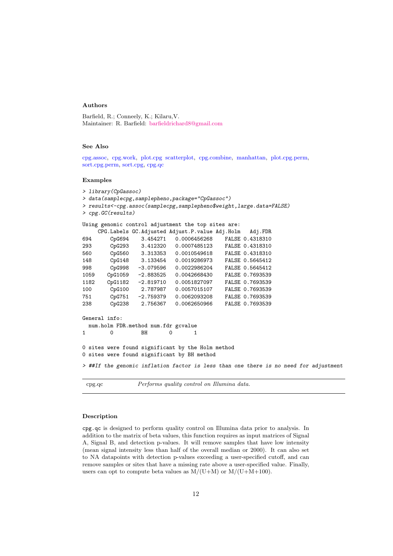#### Authors

Barfield, R.; Conneely, K.; Kilaru,V. Maintainer: R. Barfield: [barfieldrichard8@gmail.com](mailto:barfieldrichard8@gmail.com)

#### See Also

[cpg.assoc,](#page-0-0) [cpg.work,](#page-12-0) [plot.cpg](#page-18-0) [scatterplot,](#page-25-0) [cpg.combine,](#page-4-0) [manhattan,](#page-17-0) [plot.cpg.perm,](#page-22-0) [sort.cpg.perm,](#page-22-0) [sort.cpg,](#page-18-0) [cpg.qc](#page-11-0)

#### Examples

|      | > library (CpGassoc) |                                     |                                                                                      |                 |  |
|------|----------------------|-------------------------------------|--------------------------------------------------------------------------------------|-----------------|--|
|      |                      |                                     | > data(samplecpg,samplepheno,package="CpGassoc")                                     |                 |  |
|      |                      |                                     | > results<-cpg.assoc(samplecpg,samplepheno\$weight,large.data=FALSE)                 |                 |  |
|      | > cpg.GC(results)    |                                     |                                                                                      |                 |  |
|      |                      |                                     |                                                                                      |                 |  |
|      |                      |                                     | Using genomic control adjustment the top sites are:                                  |                 |  |
|      |                      |                                     | CPG.Labels GC.Adjusted Adjust.P.value Adj.Holm                                       | Adj.FDR         |  |
| 694  |                      |                                     | CpG694 3.454271 0.0006456268 FALSE 0.4318310                                         |                 |  |
| 293  |                      |                                     | CpG293 3.412320 0.0007485123 FALSE 0.4318310                                         |                 |  |
| 560  |                      |                                     | CpG560 3.313353 0.0010549618 FALSE 0.4318310                                         |                 |  |
| 148  |                      |                                     | CpG148 3.133454 0.0019286973 FALSE 0.5645412                                         |                 |  |
| 998  |                      |                                     | CpG998 -3.079596 0.0022986204 FALSE 0.5645412                                        |                 |  |
| 1059 |                      |                                     | CpG1059 -2.883525 0.0042668430 FALSE 0.7693539                                       |                 |  |
| 1182 |                      |                                     | CpG1182 -2.819710 0.0051827097 FALSE 0.7693539                                       |                 |  |
| 100  |                      |                                     | CpG100 2.787987 0.0057015107 FALSE 0.7693539                                         |                 |  |
| 751  |                      |                                     | CpG751 -2.759379 0.0062093208 FALSE 0.7693539                                        |                 |  |
| 238  | CpG238               | 2.756367                            | 0.0062650966                                                                         | FALSE 0.7693539 |  |
|      | General info:        |                                     |                                                                                      |                 |  |
|      |                      | num.holm FDR.method num.fdr gcvalue |                                                                                      |                 |  |
| 1    | $\Omega$             | BH                                  | $\Omega$<br>1                                                                        |                 |  |
|      |                      |                                     | O sites were found significant by the Holm method                                    |                 |  |
|      |                      |                                     | O sites were found significant by BH method                                          |                 |  |
|      |                      |                                     | > ##If the genomic inflation factor is less than one there is no need for adjustment |                 |  |

<span id="page-11-0"></span>cpg.qc Performs quality control on Illumina data.

#### Description

cpg.qc is designed to perform quality control on Illumina data prior to analysis. In addition to the matrix of beta values, this function requires as input matrices of Signal A, Signal B, and detection p-values. It will remove samples that have low intensity (mean signal intensity less than half of the overall median or 2000). It can also set to NA datapoints with detection p-values exceeding a user-specified cutoff, and can remove samples or sites that have a missing rate above a user-specified value. Finally, users can opt to compute beta values as  $M/(U+M)$  or  $M/(U+M+100)$ .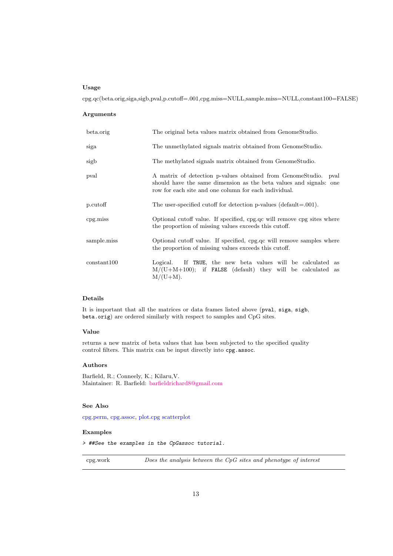#### Usage

cpg.qc(beta.orig,siga,sigb,pval,p.cutoff=.001,cpg.miss=NULL,sample.miss=NULL,constant100=FALSE)

#### Arguments

| beta.orig   | The original beta values matrix obtained from Genome Studio.                                                                                                                                   |
|-------------|------------------------------------------------------------------------------------------------------------------------------------------------------------------------------------------------|
| siga        | The unmethylated signals matrix obtained from GenomeStudio.                                                                                                                                    |
| sigb        | The methylated signals matrix obtained from GenomeStudio.                                                                                                                                      |
| pval        | A matrix of detection p-values obtained from GenomeStudio. pval<br>should have the same dimension as the beta values and signals: one<br>row for each site and one column for each individual. |
| p.cutoff    | The user-specified cutoff for detection p-values (default= $.001$ ).                                                                                                                           |
| cpg.miss    | Optional cutoff value. If specified, cpg.qc will remove cpg sites where<br>the proportion of missing values exceeds this cutoff.                                                               |
| sample.miss | Optional cutoff value. If specified, cpg.qc will remove samples where<br>the proportion of missing values exceeds this cutoff.                                                                 |
| constant100 | If TRUE, the new beta values will be calculated as<br>Logical.<br>$M/(U+M+100)$ ; if <b>FALSE</b> (default) they will be calculated as<br>$M/(U+M)$ .                                          |

#### Details

It is important that all the matrices or data frames listed above (pval, siga, sigb, beta.orig) are ordered similarly with respect to samples and CpG sites.

#### Value

returns a new matrix of beta values that has been subjected to the specified quality control filters. This matrix can be input directly into cpg.assoc.

# Authors

Barfield, R.; Conneely, K.; Kilaru,V. Maintainer: R. Barfield: [barfieldrichard8@gmail.com](mailto:barfieldrichard8@gmail.com)

#### See Also

[cpg.perm,](#page-6-0) [cpg.assoc,](#page-0-0) [plot.cpg](#page-18-0) [scatterplot](#page-25-0)

# Examples

> ##See the examples in the CpGassoc tutorial.

<span id="page-12-0"></span>cpg.work Does the analysis between the CpG sites and phenotype of interest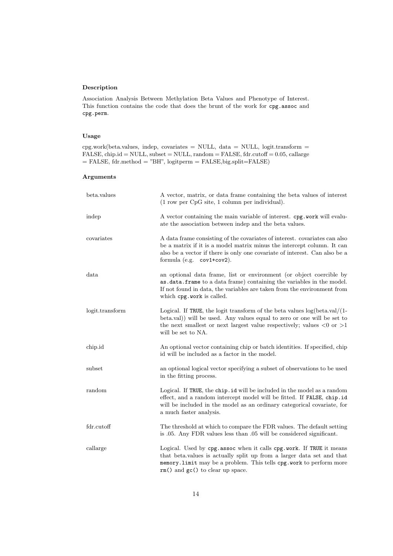# Description

Association Analysis Between Methylation Beta Values and Phenotype of Interest. This function contains the code that does the brunt of the work for cpg.assoc and cpg.perm.

# Usage

cpg.work(beta.values, indep, covariates = NULL, data = NULL, logit.transform =  $\texttt{FALSE}, \texttt{chip.id} = \texttt{NULL}, \texttt{subset} = \texttt{NULL}, \texttt{random} = \texttt{FALSE}, \texttt{fdr.cutoff} = 0.05, \texttt{callarge}$  $=$  FALSE, fdr.method  $=$  "BH", logitperm  $=$  FALSE,big.split=FALSE)

| beta.values     | A vector, matrix, or data frame containing the beta values of interest<br>(1 row per CpG site, 1 column per individual).                                                                                                                                           |  |  |
|-----------------|--------------------------------------------------------------------------------------------------------------------------------------------------------------------------------------------------------------------------------------------------------------------|--|--|
| indep           | A vector containing the main variable of interest. cpg.work will evalu-<br>ate the association between indep and the beta values.                                                                                                                                  |  |  |
| covariates      | A data frame consisting of the covariates of interest. covariates can also<br>be a matrix if it is a model matrix minus the intercept column. It can<br>also be a vector if there is only one covariate of interest. Can also be a<br>formula (e.g. $cov1+cov2$ ). |  |  |
| data            | an optional data frame, list or environment (or object coercible by<br>as .data.frame to a data frame) containing the variables in the model.<br>If not found in data, the variables are taken from the environment from<br>which cpg.work is called.              |  |  |
| logit.transform | Logical. If TRUE, the logit transform of the beta values $log(beta.val/(1-$<br>beta.val) will be used. Any values equal to zero or one will be set to<br>the next smallest or next largest value respectively; values $< 0$ or $> 1$<br>will be set to NA.         |  |  |
| chip.id         | An optional vector containing chip or batch identities. If specified, chip<br>id will be included as a factor in the model.                                                                                                                                        |  |  |
| subset          | an optional logical vector specifying a subset of observations to be used<br>in the fitting process.                                                                                                                                                               |  |  |
| random          | Logical. If TRUE, the chip.id will be included in the model as a random<br>effect, and a random intercept model will be fitted. If FALSE, chip.id<br>will be included in the model as an ordinary categorical covariate, for<br>a much faster analysis.            |  |  |
| fdr.cutoff      | The threshold at which to compare the FDR values. The default setting<br>is .05. Any FDR values less than .05 will be considered significant.                                                                                                                      |  |  |
| callarge        | Logical. Used by cpg.assoc when it calls cpg.work. If TRUE it means<br>that beta.values is actually split up from a larger data set and that<br>memory. limit may be a problem. This tells cpg. work to perform more<br>$rm()$ and $gc()$ to clear up space.       |  |  |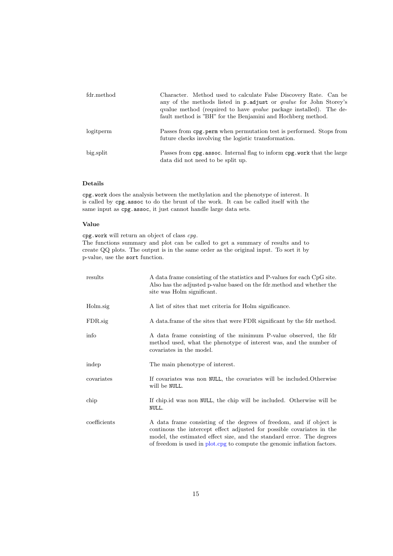| fdr.method | Character. Method used to calculate False Discovery Rate. Can be<br>any of the methods listed in p.adjust or <i>qualue</i> for John Storey's<br>qualue method (required to have <i>qualue</i> package installed). The de-<br>fault method is "BH" for the Benjamini and Hochberg method. |
|------------|------------------------------------------------------------------------------------------------------------------------------------------------------------------------------------------------------------------------------------------------------------------------------------------|
| logitperm  | Passes from cpg. perm when permutation test is performed. Stops from<br>future checks involving the logistic transformation.                                                                                                                                                             |
| big.split  | Passes from cpg. assoc. Internal flag to inform cpg. work that the large<br>data did not need to be split up.                                                                                                                                                                            |

#### Details

cpg.work does the analysis between the methylation and the phenotype of interest. It is called by cpg.assoc to do the brunt of the work. It can be called itself with the same input as cpg.assoc, it just cannot handle large data sets.

#### Value

cpg.work will return an object of class cpg. The functions summary and plot can be called to get a summary of results and to create QQ plots. The output is in the same order as the original input. To sort it by p-value, use the sort function.

| results      | A data frame consisting of the statistics and P-values for each CpG site.<br>Also has the adjusted p-value based on the fdr.method and whether the<br>site was Holm significant.                                                                                                                    |
|--------------|-----------------------------------------------------------------------------------------------------------------------------------------------------------------------------------------------------------------------------------------------------------------------------------------------------|
| Holm.sig     | A list of sites that met criteria for Holm significance.                                                                                                                                                                                                                                            |
| FDR.sig      | A data frame of the sites that were FDR significant by the fdr method.                                                                                                                                                                                                                              |
| info         | A data frame consisting of the minimum P-value observed, the fdr<br>method used, what the phenotype of interest was, and the number of<br>covariates in the model.                                                                                                                                  |
| indep        | The main phenotype of interest.                                                                                                                                                                                                                                                                     |
| covariates   | If covariates was non NULL, the covariates will be included. Otherwise<br>will be NULL.                                                                                                                                                                                                             |
| chip         | If chips id was non NULL, the chip will be included. Otherwise will be<br>NULL.                                                                                                                                                                                                                     |
| coefficients | A data frame consisting of the degrees of freedom, and if object is<br>continuous the intercept effect adjusted for possible covariates in the<br>model, the estimated effect size, and the standard error. The degrees<br>of freedom is used in plot cpg to compute the genomic inflation factors. |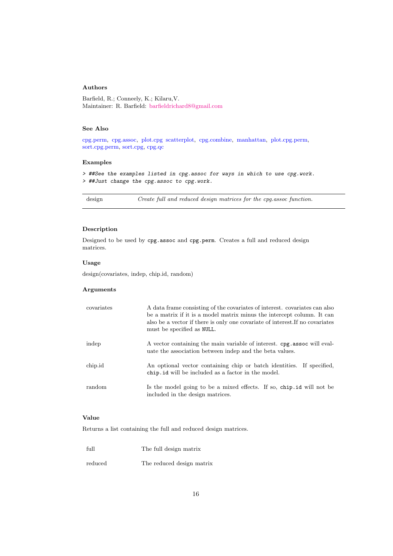# Authors

Barfield, R.; Conneely, K.; Kilaru,V. Maintainer: R. Barfield: [barfieldrichard8@gmail.com](mailto:barfieldrichard8@gmail.com)

### See Also

[cpg.perm,](#page-6-0) [cpg.assoc,](#page-0-0) [plot.cpg](#page-18-0) [scatterplot,](#page-25-0) [cpg.combine,](#page-4-0) [manhattan,](#page-17-0) [plot.cpg.perm,](#page-22-0) [sort.cpg.perm,](#page-22-0) [sort.cpg,](#page-18-0) [cpg.qc](#page-11-0)

#### Examples

> ##See the examples listed in cpg.assoc for ways in which to use cpg.work. > ##Just change the cpg.assoc to cpg.work.

<span id="page-15-0"></span>design Create full and reduced design matrices for the cpg.assoc function.

### Description

Designed to be used by cpg.assoc and cpg.perm. Creates a full and reduced design matrices.

#### Usage

design(covariates, indep, chip.id, random)

#### Arguments

| covariates | A data frame consisting of the covariates of interest. covariates can also<br>be a matrix if it is a model matrix minus the intercept column. It can<br>also be a vector if there is only one covariate of interest. If no covariates<br>must be specified as NULL. |
|------------|---------------------------------------------------------------------------------------------------------------------------------------------------------------------------------------------------------------------------------------------------------------------|
| indep      | A vector containing the main variable of interest. cpg. assoc will eval-<br>uate the association between indep and the beta values.                                                                                                                                 |
| chip.id    | An optional vector containing chip or batch identities. If specified,<br>chip. id will be included as a factor in the model.                                                                                                                                        |
| random     | Is the model going to be a mixed effects. If so, chip.id will not be<br>included in the design matrices.                                                                                                                                                            |

### Value

Returns a list containing the full and reduced design matrices.

| full    | The full design matrix    |
|---------|---------------------------|
| reduced | The reduced design matrix |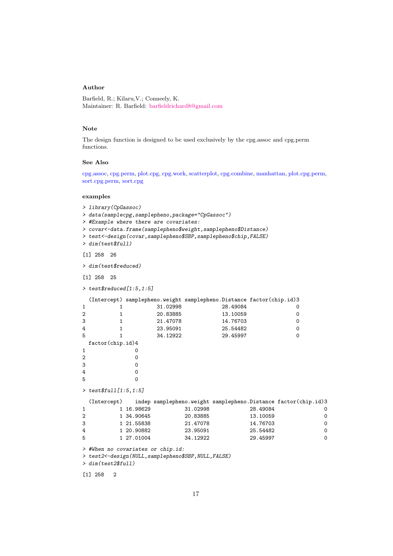# Author

Barfield, R.; Kilaru,V.; Conneely, K. Maintainer: R. Barfield: [barfieldrichard8@gmail.com](mailto:barfieldrichard8@gmail.com)

# Note

The design function is designed to be used exclusively by the cpg.assoc and cpg.perm functions.

# See Also

[cpg.assoc,](#page-0-0) [cpg.perm,](#page-6-0) [plot.cpg,](#page-18-0) [cpg.work,](#page-12-0) [scatterplot,](#page-25-0) [cpg.combine,](#page-4-0) [manhattan,](#page-17-0) [plot.cpg.perm,](#page-22-0) [sort.cpg.perm,](#page-22-0) [sort.cpg](#page-18-0)

|                       | examples                                                                                                                                |                                                                    |                                                          |                                                          |                                                                                                                                     |                                                          |                       |                  |
|-----------------------|-----------------------------------------------------------------------------------------------------------------------------------------|--------------------------------------------------------------------|----------------------------------------------------------|----------------------------------------------------------|-------------------------------------------------------------------------------------------------------------------------------------|----------------------------------------------------------|-----------------------|------------------|
|                       | > library (CpGassoc)<br>> data(samplecpg,samplepheno,package="CpGassoc")<br>> #Example where there are covariates:<br>> dim(test\$full) |                                                                    |                                                          |                                                          | > covar<-data.frame(samplepheno\$weight,samplepheno\$Distance)<br>> test<-design(covar, samplepheno\$SBP, samplepheno\$chip, FALSE) |                                                          |                       |                  |
|                       | $[1]$ 258<br>26                                                                                                                         |                                                                    |                                                          |                                                          |                                                                                                                                     |                                                          |                       |                  |
|                       | > dim(test\$reduced)                                                                                                                    |                                                                    |                                                          |                                                          |                                                                                                                                     |                                                          |                       |                  |
|                       | $[1]$ 258<br>-25                                                                                                                        |                                                                    |                                                          |                                                          |                                                                                                                                     |                                                          |                       |                  |
|                       | > $test$ reduced[1:5, 1:5]$                                                                                                             |                                                                    |                                                          |                                                          |                                                                                                                                     |                                                          |                       |                  |
| 1<br>2<br>3<br>4<br>5 | 1<br>1<br>1<br>1<br>1<br>factor(chip.id)4                                                                                               |                                                                    | 31.02998<br>20.83885<br>21.47078<br>23.95091<br>34.12922 |                                                          | (Intercept) samplepheno.weight samplepheno.Distance factor(chip.id)3<br>28.49084<br>13.10059<br>14.76703<br>25.54482<br>29.45997    |                                                          | 0<br>0<br>0<br>0<br>0 |                  |
| 1                     |                                                                                                                                         | 0                                                                  |                                                          |                                                          |                                                                                                                                     |                                                          |                       |                  |
| 2<br>3<br>4<br>5      |                                                                                                                                         | 0<br>0<br>0<br>$\Omega$                                            |                                                          |                                                          |                                                                                                                                     |                                                          |                       |                  |
|                       | > test\$full[1:5,1:5]                                                                                                                   |                                                                    |                                                          |                                                          |                                                                                                                                     |                                                          |                       |                  |
| 1<br>2<br>3<br>4<br>5 | (Intercept)<br>> #When no covariates or chip.id:<br>> test2<-design(NULL, samplepheno\$SBP, NULL, FALSE)<br>> dim(test2\$full)          | 1 16.98629<br>1 34.90645<br>1 21.55838<br>1 20.90882<br>1 27.01004 |                                                          | 31.02998<br>20.83885<br>21.47078<br>23.95091<br>34.12922 | indep samplepheno.weight samplepheno.Distance factor(chip.id)3                                                                      | 28.49084<br>13.10059<br>14.76703<br>25.54482<br>29.45997 |                       | 0<br>0<br>0<br>0 |
|                       | $[1]$ 258<br>$\overline{2}$                                                                                                             |                                                                    |                                                          |                                                          |                                                                                                                                     |                                                          |                       |                  |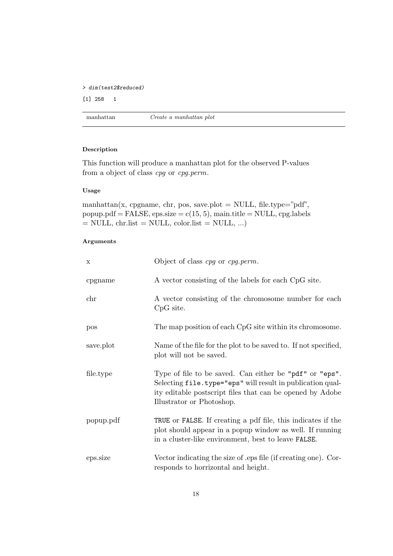```
> dim(test2$reduced)
[1] 258 1
```
<span id="page-17-0"></span>

| manhattan | Create a manhattan plot |
|-----------|-------------------------|
|-----------|-------------------------|

# Description

This function will produce a manhattan plot for the observed P-values from a object of class cpg or cpg.perm.

#### Usage

manhattan(x, cpgname, chr, pos, save.plot = NULL, file.type="pdf",  $popup.pdf = FALSE, eps.size = c(15, 5), main.title = NULL, cpg. labels$  $=$  NULL, chr.list  $=$  NULL, color.list  $=$  NULL, ...)

| $\mathbf X$ | Object of class <i>cpg</i> or <i>cpg.perm</i> .                                                                                                                                                                 |
|-------------|-----------------------------------------------------------------------------------------------------------------------------------------------------------------------------------------------------------------|
| cpgname     | A vector consisting of the labels for each CpG site.                                                                                                                                                            |
| chr         | A vector consisting of the chromosome number for each<br>CpG site.                                                                                                                                              |
| pos         | The map position of each CpG site within its chromosome.                                                                                                                                                        |
| save.plot   | Name of the file for the plot to be saved to. If not specified,<br>plot will not be saved.                                                                                                                      |
| file.type   | Type of file to be saved. Can either be "pdf" or "eps".<br>Selecting file.type="eps" will result in publication qual-<br>ity editable postscript files that can be opened by Adobe<br>Illustrator or Photoshop. |
| popup.pdf   | TRUE or FALSE. If creating a pdf file, this indicates if the<br>plot should appear in a popup window as well. If running<br>in a cluster-like environment, best to leave FALSE.                                 |
| eps.size    | Vector indicating the size of eps file (if creating one). Cor-<br>responds to horrizontal and height.                                                                                                           |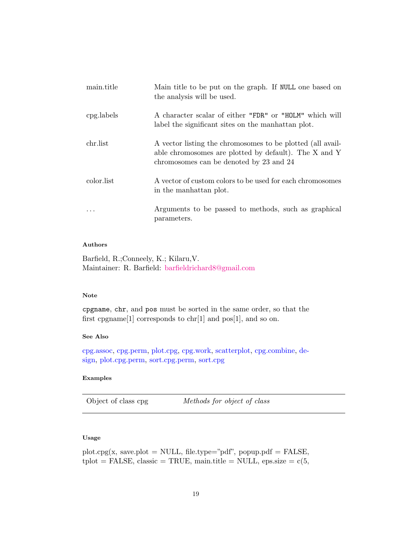| main.title | Main title to be put on the graph. If NULL one based on<br>the analysis will be used.                                                                          |
|------------|----------------------------------------------------------------------------------------------------------------------------------------------------------------|
| cpg.labels | A character scalar of either "FDR" or "HOLM" which will<br>label the significant sites on the manhattan plot.                                                  |
| chr.list   | A vector listing the chromosomes to be plotted (all avail-<br>able chromosomes are plotted by default). The X and Y<br>chromosomes can be denoted by 23 and 24 |
| color.list | A vector of custom colors to be used for each chromosomes<br>in the manhattan plot.                                                                            |
|            | Arguments to be passed to methods, such as graphical<br>parameters.                                                                                            |

# Authors

Barfield, R.;Conneely, K.; Kilaru,V. Maintainer: R. Barfield: [barfieldrichard8@gmail.com](mailto:barfieldrichard8@gmail.com)

# Note

cpgname, chr, and pos must be sorted in the same order, so that the first cpgname<sup>[1]</sup> corresponds to chr<sup>[1]</sup> and pos<sup>[1]</sup>, and so on.

### See Also

[cpg.assoc,](#page-0-0) [cpg.perm,](#page-6-0) [plot.cpg,](#page-18-0) [cpg.work,](#page-12-0) [scatterplot,](#page-25-0) [cpg.combine,](#page-4-0) [de](#page-15-0)[sign,](#page-15-0) [plot.cpg.perm,](#page-22-0) [sort.cpg.perm,](#page-22-0) [sort.cpg](#page-18-0)

### <span id="page-18-0"></span>Examples

Object of class cpg *Methods for object of class* 

# Usage

plot.cpg(x, save.plot = NULL, file.type="pdf", popup.pdf = FALSE,  $\text{tplot} = \text{FALSE}, \text{ classic} = \text{TRUE}, \text{main.title} = \text{NULL}, \text{eps.size} = \text{c}(5,$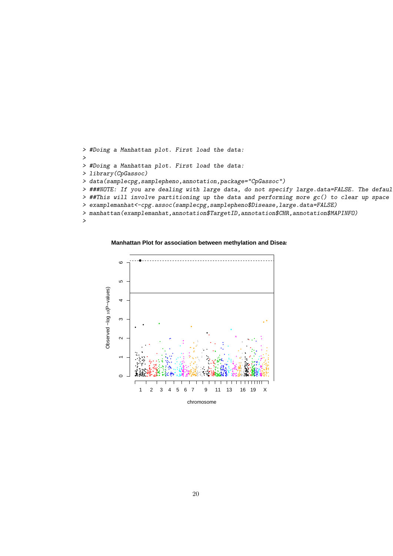```
> #Doing a Manhattan plot. First load the data:
>
> #Doing a Manhattan plot. First load the data:
> library(CpGassoc)
> data(samplecpg,samplepheno,annotation,package="CpGassoc")
> ###NOTE: If you are dealing with large data, do not specify large.data=FALSE. The defaul
> ##This will involve partitioning up the data and performing more gc() to clear up space
> examplemanhat<-cpg.assoc(samplecpg,samplepheno$Disease,large.data=FALSE)
> manhattan(examplemanhat,annotation$TargetID,annotation$CHR,annotation$MAPINFO)
>
```
**Manhattan Plot for association between methylation and Diseas** 

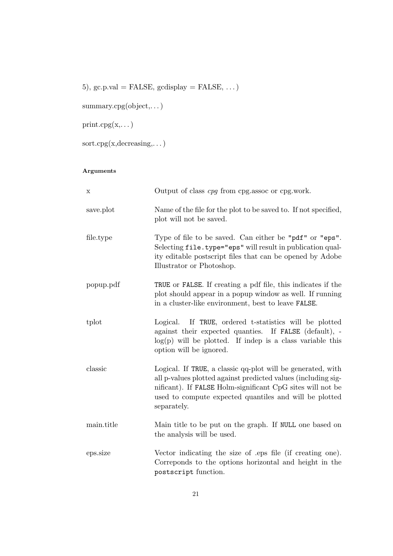5), gc.p.val = FALSE, gcdisplay = FALSE,  $\dots$ )

summary.cpg(object,...)

 $print.cpg(x,...)$ 

 $\text{sort}.\text{cpg}(\mathbf{x},\text{decreasing},\dots)$ 

| X          | Output of class cpg from cpg.assoc or cpg.work.                                                                                                                                                                                                                     |
|------------|---------------------------------------------------------------------------------------------------------------------------------------------------------------------------------------------------------------------------------------------------------------------|
| save.plot  | Name of the file for the plot to be saved to. If not specified,<br>plot will not be saved.                                                                                                                                                                          |
| file.type  | Type of file to be saved. Can either be "pdf" or "eps".<br>Selecting file.type="eps" will result in publication qual-<br>ity editable postscript files that can be opened by Adobe<br>Illustrator or Photoshop.                                                     |
| popup.pdf  | TRUE or FALSE. If creating a pdf file, this indicates if the<br>plot should appear in a popup window as well. If running<br>in a cluster-like environment, best to leave FALSE.                                                                                     |
| tplot      | Logical. If TRUE, ordered t-statistics will be plotted<br>against their expected quanties. If FALSE (default), -<br>$log(p)$ will be plotted. If indep is a class variable this<br>option will be ignored.                                                          |
| classic    | Logical. If TRUE, a classic qq-plot will be generated, with<br>all p-values plotted against predicted values (including sig-<br>nificant). If FALSE Holm-significant CpG sites will not be<br>used to compute expected quantiles and will be plotted<br>separately. |
| main.title | Main title to be put on the graph. If NULL one based on<br>the analysis will be used.                                                                                                                                                                               |
| eps.size   | Vector indicating the size of eps file (if creating one).<br>Correponds to the options horizontal and height in the<br>postscript function.                                                                                                                         |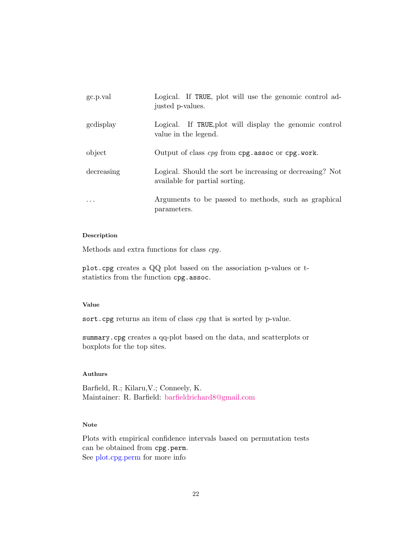| gc.p.val                | Logical. If TRUE, plot will use the genomic control ad-<br>justed p-values.                 |
|-------------------------|---------------------------------------------------------------------------------------------|
| gcdisplay               | Logical. If TRUE, plot will display the genomic control<br>value in the legend.             |
| object                  | Output of class cpg from cpg. assoc or cpg. work.                                           |
| decreasing              | Logical. Should the sort be increasing or decreasing? Not<br>available for partial sorting. |
| $\cdot$ $\cdot$ $\cdot$ | Arguments to be passed to methods, such as graphical<br>parameters.                         |

# Description

Methods and extra functions for class cpg.

plot.cpg creates a QQ plot based on the association p-values or tstatistics from the function cpg.assoc.

# Value

sort.cpg returns an item of class cpg that is sorted by p-value.

summary.cpg creates a qq-plot based on the data, and scatterplots or boxplots for the top sites.

# Authurs

Barfield, R.; Kilaru,V.; Conneely, K. Maintainer: R. Barfield: [barfieldrichard8@gmail.com](mailto:barfieldrichard8@gmail.com)

# Note

Plots with empirical confidence intervals based on permutation tests can be obtained from cpg.perm. See [plot.cpg.perm](#page-22-0) for more info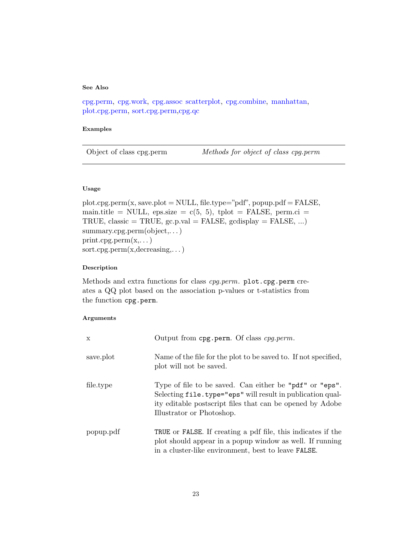# See Also

[cpg.perm,](#page-6-0) [cpg.work,](#page-12-0) [cpg.assoc](#page-0-0) [scatterplot,](#page-25-0) [cpg.combine,](#page-4-0) [manhattan,](#page-17-0) [plot.cpg.perm,](#page-22-0) [sort.cpg.perm,](#page-22-0)[cpg.qc](#page-11-0)

# <span id="page-22-0"></span>Examples

#### Usage

 $plot.cpg.perm(x, save.plot = NULL, file.type='pdf", popup.pdf = FALSE,$ main.title = NULL, eps.size =  $c(5, 5)$ , tplot = FALSE, perm.ci = TRUE, classic = TRUE,  $gc.p.val = FALSE$ ,  $gcdisplay = FALSE$ , ...) summary.cpg.perm(object,. . . )  $print.cpg.perm(x,...)$ sort.cpg.perm(x,decreasing,. . . )

# Description

Methods and extra functions for class cpg.perm. plot.cpg.perm creates a QQ plot based on the association p-values or t-statistics from the function cpg.perm.

| X         | Output from cpg.perm. Of class cpg.perm.                                                                                                                                                                        |
|-----------|-----------------------------------------------------------------------------------------------------------------------------------------------------------------------------------------------------------------|
| save.plot | Name of the file for the plot to be saved to. If not specified,<br>plot will not be saved.                                                                                                                      |
| file.type | Type of file to be saved. Can either be "pdf" or "eps".<br>Selecting file.type="eps" will result in publication qual-<br>ity editable postscript files that can be opened by Adobe<br>Illustrator or Photoshop. |
| popup.pdf | TRUE or FALSE. If creating a pdf file, this indicates if the<br>plot should appear in a popup window as well. If running<br>in a cluster-like environment, best to leave FALSE.                                 |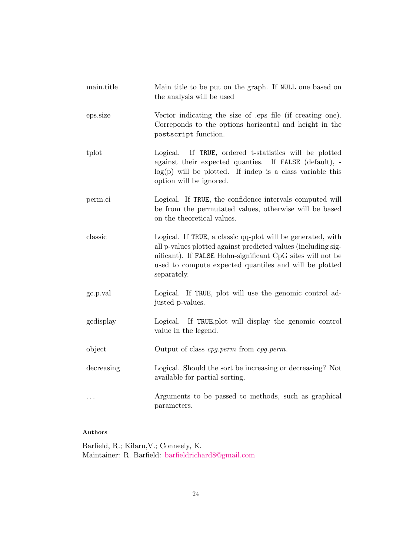| main.title | Main title to be put on the graph. If NULL one based on<br>the analysis will be used                                                                                                                                                                                |
|------------|---------------------------------------------------------------------------------------------------------------------------------------------------------------------------------------------------------------------------------------------------------------------|
| eps.size   | Vector indicating the size of eps file (if creating one).<br>Correponds to the options horizontal and height in the<br>postscript function.                                                                                                                         |
| tplot      | Logical. If TRUE, ordered t-statistics will be plotted<br>against their expected quanties. If FALSE (default), -<br>$log(p)$ will be plotted. If indep is a class variable this<br>option will be ignored.                                                          |
| perm.ci    | Logical. If TRUE, the confidence intervals computed will<br>be from the permutated values, otherwise will be based<br>on the theoretical values.                                                                                                                    |
| classic    | Logical. If TRUE, a classic qq-plot will be generated, with<br>all p-values plotted against predicted values (including sig-<br>nificant). If FALSE Holm-significant CpG sites will not be<br>used to compute expected quantiles and will be plotted<br>separately. |
| gc.p.val   | Logical. If TRUE, plot will use the genomic control ad-<br>justed p-values.                                                                                                                                                                                         |
| gcdisplay  | Logical. If TRUE, plot will display the genomic control<br>value in the legend.                                                                                                                                                                                     |
| object     | Output of class cpg.perm from cpg.perm.                                                                                                                                                                                                                             |
| decreasing | Logical. Should the sort be increasing or decreasing? Not<br>available for partial sorting.                                                                                                                                                                         |
|            | Arguments to be passed to methods, such as graphical<br>parameters.                                                                                                                                                                                                 |

# Authors

Barfield, R.; Kilaru,V.; Conneely, K. Maintainer: R. Barfield: [barfieldrichard8@gmail.com](mailto:barfieldrichard8@gmail.com)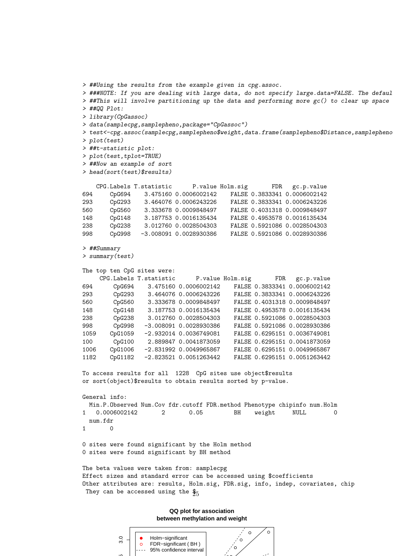```
> ##Using the results from the example given in cpg.assoc.
> ###NOTE: If you are dealing with large data, do not specify large.data=FALSE. The defaul
> ##This will involve partitioning up the data and performing more gc() to clear up space
> ##QQ Plot:
> library(CpGassoc)
> data(samplecpg,samplepheno,package="CpGassoc")
> test<-cpg.assoc(samplecpg,samplepheno$weight,data.frame(samplepheno$Distance,samplepheno
> plot(test)
> ##t-statistic plot:
> plot(test,tplot=TRUE)
> ##Now an example of sort
> head(sort(test)$results)
   CPG.Labels T.statistic P.value Holm.sig FDR gc.p.value
694 CpG694 3.475160 0.0006002142 FALSE 0.3833341 0.0006002142
293 CpG293 3.464076 0.0006243226 FALSE 0.3833341 0.0006243226
560 CpG560 3.333678 0.0009848497 FALSE 0.4031318 0.0009848497
148 CpG148 3.187753 0.0016135434 FALSE 0.4953578 0.0016135434
238 CpG238 3.012760 0.0028504303 FALSE 0.5921086 0.0028504303
998 CpG998 -3.008091 0.0028930386 FALSE 0.5921086 0.0028930386
> ##Summary
> summary(test)
The top ten CpG sites were:
    CPG.Labels T.statistic P.value Holm.sig FDR gc.p.value
694 CpG694 3.475160 0.0006002142 FALSE 0.3833341 0.0006002142
293 CpG293 3.464076 0.0006243226 FALSE 0.3833341 0.0006243226
560 CpG560 3.333678 0.0009848497 FALSE 0.4031318 0.0009848497
148 CpG148 3.187753 0.0016135434 FALSE 0.4953578 0.0016135434
238 CpG238 3.012760 0.0028504303 FALSE 0.5921086 0.0028504303
998 CpG998 -3.008091 0.0028930386 FALSE 0.5921086 0.0028930386
1059 CpG1059 -2.932014 0.0036749081 FALSE 0.6295151 0.0036749081
100 CpG100 2.889847 0.0041873059 FALSE 0.6295151 0.0041873059
1006 CpG1006 -2.831992 0.0049965867 FALSE 0.6295151 0.0049965867
1182 CpG1182 -2.823521 0.0051263442 FALSE 0.6295151 0.0051263442
To access results for all 1228 CpG sites use object$results
or sort(object)$results to obtain results sorted by p-value.
General info:
 Min.P.Observed Num.Cov fdr.cutoff FDR.method Phenotype chipinfo num.Holm
1 0.0006002142 2 0.05 BH weight NULL 0
 num.fdr
1 0
0 sites were found significant by the Holm method
0 sites were found significant by BH method
The beta values were taken from: samplecpg
Effect sizes and standard error can be accessed using $coefficients
Other attributes are: results, Holm.sig, FDR.sig, info, indep, covariates, chip
 They can be accessed using the \frac{6}{25}
```
**QQ plot for association between methylation and weight**

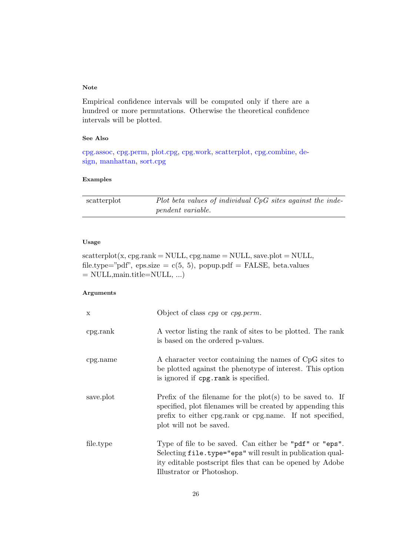# Note

Empirical confidence intervals will be computed only if there are a hundred or more permutations. Otherwise the theoretical confidence intervals will be plotted.

# See Also

[cpg.assoc,](#page-0-0) [cpg.perm,](#page-6-0) [plot.cpg,](#page-18-0) [cpg.work,](#page-12-0) [scatterplot,](#page-25-0) [cpg.combine,](#page-4-0) [de](#page-15-0)[sign,](#page-15-0) [manhattan,](#page-17-0) [sort.cpg](#page-18-0)

#### Examples

<span id="page-25-0"></span>

| scatterplot | Plot beta values of individual $CpG$ sites against the inde- |  |  |  |
|-------------|--------------------------------------------------------------|--|--|--|
|             | <i>pendent variable.</i>                                     |  |  |  |

# Usage

 $\texttt{scatterplot}(\textbf{x}, \, \text{cpg}.\text{rank} = \text{NULL}, \, \text{cpg}.\text{name} = \text{NULL}, \, \text{save}. \text{plot} = \text{NULL},$ file.type="pdf", eps.size =  $c(5, 5)$ , popup.pdf = FALSE, beta.values  $=$  NULL, main.title=NULL, ...)

| $\mathbf{x}$ | Object of class cpg or cpg.perm.                                                                                                                                                                                  |
|--------------|-------------------------------------------------------------------------------------------------------------------------------------------------------------------------------------------------------------------|
| cpg. rank    | A vector listing the rank of sites to be plotted. The rank<br>is based on the ordered p-values.                                                                                                                   |
| cpg.name     | A character vector containing the names of CpG sites to<br>be plotted against the phenotype of interest. This option<br>is ignored if cpg.rank is specified.                                                      |
| save.plot    | Prefix of the filename for the $plot(s)$ to be saved to. If<br>specified, plot filenames will be created by appending this<br>prefix to either cpg.rank or cpg.name. If not specified,<br>plot will not be saved. |
| file.type    | Type of file to be saved. Can either be "pdf" or "eps".<br>Selecting file.type="eps" will result in publication qual-<br>ity editable postscript files that can be opened by Adobe<br>Illustrator or Photoshop.   |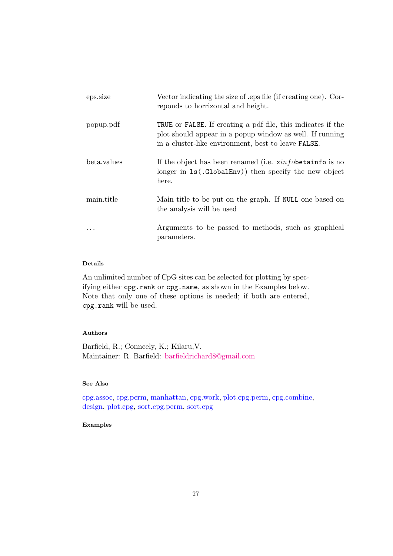| eps.size    | Vector indicating the size of eps file (if creating one). Cor-<br>reponds to horrizontal and height.                                                                                           |
|-------------|------------------------------------------------------------------------------------------------------------------------------------------------------------------------------------------------|
| popup.pdf   | <b>TRUE</b> or <b>FALSE</b> . If creating a pdf file, this indicates if the<br>plot should appear in a popup window as well. If running<br>in a cluster-like environment, best to leave FALSE. |
| beta.values | If the object has been renamed (i.e. $\sin f \phi$ betain fo is no<br>longer in 1s(.GlobalEnv)) then specify the new object<br>here.                                                           |
| main.title  | Main title to be put on the graph. If NULL one based on<br>the analysis will be used                                                                                                           |
|             | Arguments to be passed to methods, such as graphical<br>parameters.                                                                                                                            |

# Details

An unlimited number of CpG sites can be selected for plotting by specifying either cpg.rank or cpg.name, as shown in the Examples below. Note that only one of these options is needed; if both are entered, cpg.rank will be used.

# Authors

Barfield, R.; Conneely, K.; Kilaru,V. Maintainer: R. Barfield: [barfieldrichard8@gmail.com](mailto:barfieldrichard8@gmail.com)

# See Also

[cpg.assoc,](#page-0-0) [cpg.perm,](#page-6-0) [manhattan,](#page-17-0) [cpg.work,](#page-12-0) [plot.cpg.perm,](#page-22-0) [cpg.combine,](#page-4-0) [design,](#page-15-0) [plot.cpg,](#page-18-0) [sort.cpg.perm,](#page-22-0) [sort.cpg](#page-18-0)

# Examples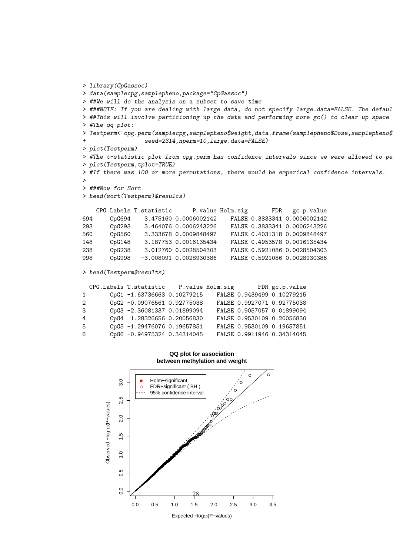```
> library(CpGassoc)
> data(samplecpg,samplepheno,package="CpGassoc")
> ##We will do the analysis on a subset to save time
> ###NOTE: If you are dealing with large data, do not specify large.data=FALSE. The defaul
> ##This will involve partitioning up the data and performing more gc() to clear up space
> #The qq plot:
> Testperm<-cpg.perm(samplecpg,samplepheno$weight,data.frame(samplepheno$Dose,samplepheno$
                 seed=2314,nperm=10,large.data=FALSE)
> plot(Testperm)
> #The t-statistic plot from cpg.perm has confidence intervals since we were allowed to pe
> plot(Testperm,tplot=TRUE)
> #If there was 100 or more permutations, there would be emperical confidence intervals.
\rightarrow> ###Now for Sort
> head(sort(Testperm)$results)
   CPG.Labels T.statistic P.value Holm.sig FDR gc.p.value
694 CpG694 3.475160 0.0006002142 FALSE 0.3833341 0.0006002142
293 CpG293 3.464076 0.0006243226 FALSE 0.3833341 0.0006243226
560 CpG560 3.333678 0.0009848497 FALSE 0.4031318 0.0009848497
148 CpG148 3.187753 0.0016135434 FALSE 0.4953578 0.0016135434
238 CpG238 3.012760 0.0028504303 FALSE 0.5921086 0.0028504303
998 CpG998 -3.008091 0.0028930386 FALSE 0.5921086 0.0028930386
> head(Testperm$results)
  CPG.Labels T.statistic P.value Holm.sig FDR gc.p.value
1 CpG1 -1.63736663 0.10279215 FALSE 0.9439499 0.10279215
2 CpG2 -0.09076561 0.92775038 FALSE 0.9927071 0.92775038
3 CpG3 -2.36081337 0.01899094 FALSE 0.9057057 0.01899094
4 CpG4 1.28326656 0.20056830 FALSE 0.9530109 0.20056830
```
**QQ plot for association between methylation and weight**

5 CpG5 -1.29476076 0.19657851 FALSE 0.9530109 0.19657851 6 CpG6 -0.94975324 0.34314045 FALSE 0.9911946 0.34314045